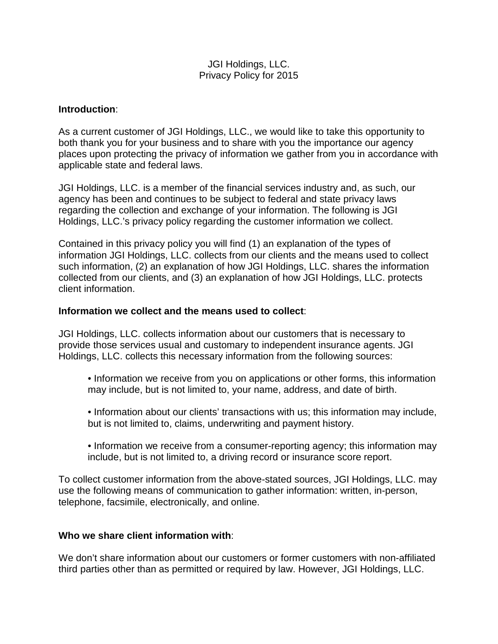## JGI Holdings, LLC. Privacy Policy for 2015

### **Introduction**:

As a current customer of JGI Holdings, LLC., we would like to take this opportunity to both thank you for your business and to share with you the importance our agency places upon protecting the privacy of information we gather from you in accordance with applicable state and federal laws.

JGI Holdings, LLC. is a member of the financial services industry and, as such, our agency has been and continues to be subject to federal and state privacy laws regarding the collection and exchange of your information. The following is JGI Holdings, LLC.'s privacy policy regarding the customer information we collect.

Contained in this privacy policy you will find (1) an explanation of the types of information JGI Holdings, LLC. collects from our clients and the means used to collect such information, (2) an explanation of how JGI Holdings, LLC. shares the information collected from our clients, and (3) an explanation of how JGI Holdings, LLC. protects client information.

#### **Information we collect and the means used to collect**:

JGI Holdings, LLC. collects information about our customers that is necessary to provide those services usual and customary to independent insurance agents. JGI Holdings, LLC. collects this necessary information from the following sources:

- Information we receive from you on applications or other forms, this information may include, but is not limited to, your name, address, and date of birth.
- Information about our clients' transactions with us; this information may include, but is not limited to, claims, underwriting and payment history.
- Information we receive from a consumer-reporting agency; this information may include, but is not limited to, a driving record or insurance score report.

To collect customer information from the above-stated sources, JGI Holdings, LLC. may use the following means of communication to gather information: written, in-person, telephone, facsimile, electronically, and online.

## **Who we share client information with**:

We don't share information about our customers or former customers with non-affiliated third parties other than as permitted or required by law. However, JGI Holdings, LLC.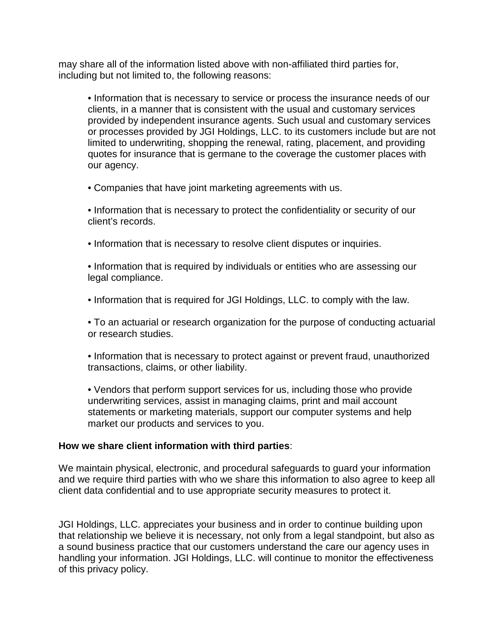may share all of the information listed above with non-affiliated third parties for, including but not limited to, the following reasons:

• Information that is necessary to service or process the insurance needs of our clients, in a manner that is consistent with the usual and customary services provided by independent insurance agents. Such usual and customary services or processes provided by JGI Holdings, LLC. to its customers include but are not limited to underwriting, shopping the renewal, rating, placement, and providing quotes for insurance that is germane to the coverage the customer places with our agency.

• Companies that have joint marketing agreements with us.

• Information that is necessary to protect the confidentiality or security of our client's records.

• Information that is necessary to resolve client disputes or inquiries.

• Information that is required by individuals or entities who are assessing our legal compliance.

• Information that is required for JGI Holdings, LLC. to comply with the law.

• To an actuarial or research organization for the purpose of conducting actuarial or research studies.

• Information that is necessary to protect against or prevent fraud, unauthorized transactions, claims, or other liability.

• Vendors that perform support services for us, including those who provide underwriting services, assist in managing claims, print and mail account statements or marketing materials, support our computer systems and help market our products and services to you.

# **How we share client information with third parties**:

We maintain physical, electronic, and procedural safeguards to guard your information and we require third parties with who we share this information to also agree to keep all client data confidential and to use appropriate security measures to protect it.

JGI Holdings, LLC. appreciates your business and in order to continue building upon that relationship we believe it is necessary, not only from a legal standpoint, but also as a sound business practice that our customers understand the care our agency uses in handling your information. JGI Holdings, LLC. will continue to monitor the effectiveness of this privacy policy.